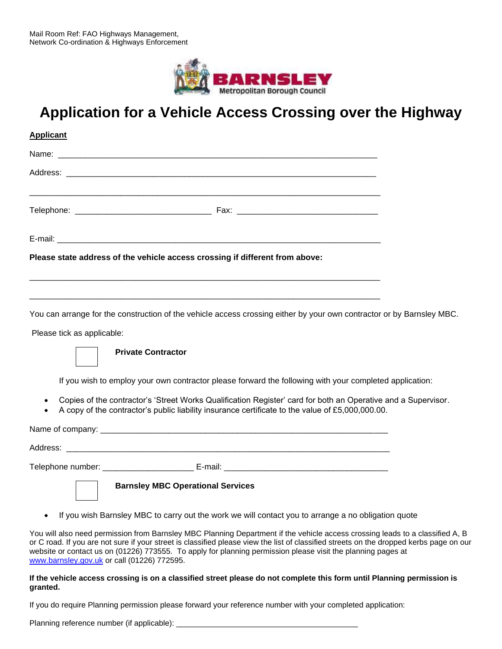

## **Application for a Vehicle Access Crossing over the Highway**

| <b>Applicant</b>           |                                                                                                      |  |  |  |
|----------------------------|------------------------------------------------------------------------------------------------------|--|--|--|
|                            |                                                                                                      |  |  |  |
|                            |                                                                                                      |  |  |  |
|                            |                                                                                                      |  |  |  |
|                            |                                                                                                      |  |  |  |
|                            | Please state address of the vehicle access crossing if different from above:                         |  |  |  |
|                            |                                                                                                      |  |  |  |
|                            | You can arrange for the construction of the vehicle access crossing either by your own contractor or |  |  |  |
| Please tick as applicable: |                                                                                                      |  |  |  |
|                            | <b>Private Contractor</b>                                                                            |  |  |  |

If you wish to employ your own contractor please forward the following with your completed application:

by Barnsley MBC.

- Copies of the contractor's 'Street Works Qualification Register' card for both an Operative and a Supervisor.
- A copy of the contractor's public liability insurance certificate to the value of £[5,000,000.00](https://5,000,000.00).

Name of company: Address: \_\_\_\_\_\_\_\_\_\_\_\_\_\_\_\_\_\_\_\_\_\_\_\_\_\_\_\_\_\_\_\_\_\_\_\_\_\_\_\_\_\_\_\_\_\_\_\_\_\_\_\_\_\_\_\_\_\_\_\_\_\_\_\_\_\_\_\_\_\_\_

Telephone number: <br>
E-mail: <br>
E-mail:

**Barnsley MBC Operational Services** 

• If you wish Barnsley MBC to carry out the work we will contact you to arrange a no obligation quote

You will also need permission from Barnsley MBC Planning Department if the vehicle access crossing leads to a classified A, B or C road. If you are not sure if your street is classified please view the list of classified streets on the dropped kerbs page on our website or contact us on (01226) 773555. To apply for planning permission please visit the planning pages at [www.barnsley.gov.uk](http://www.barnsley.gov.uk/) or call (01226) 772595.

## **If the vehicle access crossing is on a classified street please do not complete this form until Planning permission is granted.**

If you do require Planning permission please forward your reference number with your completed application:

Planning reference number (if applicable):